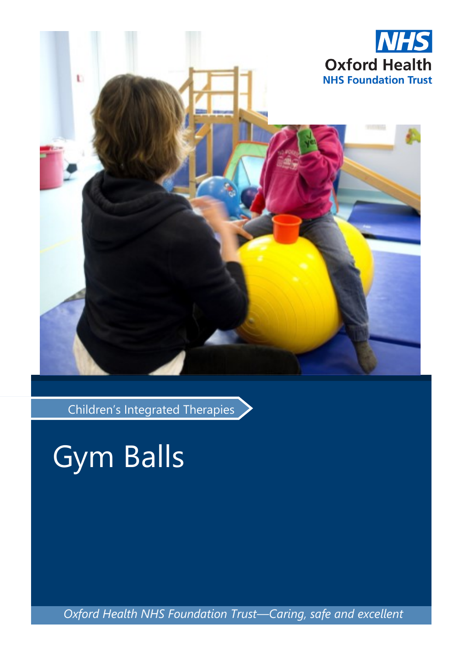

Children's Integrated Therapies

Gym Balls

*Oxford Health NHS Foundation Trust—Caring, safe and excellent*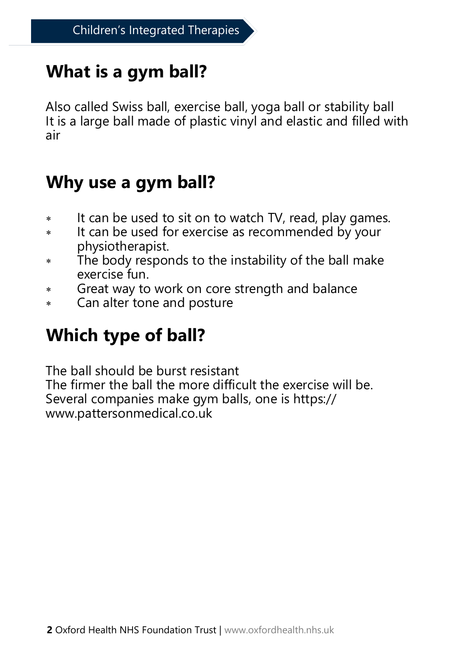# **What is a gym ball?**

Also called Swiss ball, exercise ball, yoga ball or stability ball It is a large ball made of plastic vinyl and elastic and filled with air

### **Why use a gym ball?**

- \* It can be used to sit on to watch TV, read, play games.
- \* It can be used for exercise as recommended by your physiotherapist.
- The body responds to the instability of the ball make exercise fun.
- Great way to work on core strength and balance
- Can alter tone and posture

## **Which type of ball?**

The ball should be burst resistant The firmer the ball the more difficult the exercise will be. Several companies make gym balls, one is https:// www.pattersonmedical.co.uk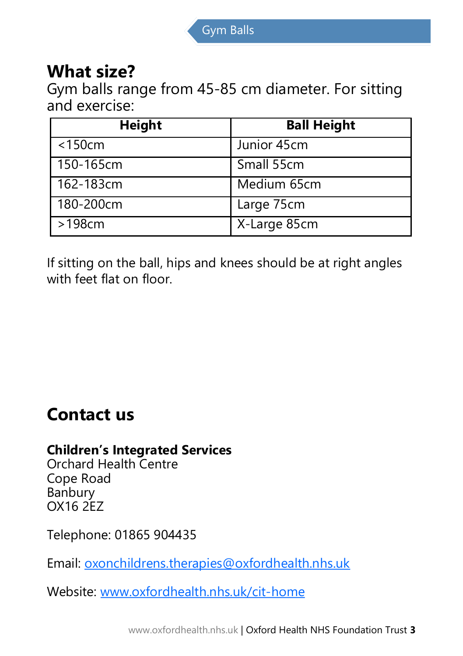#### **What size?**

Gym balls range from 45-85 cm diameter. For sitting and exercise:

| <b>Height</b> | <b>Ball Height</b> |
|---------------|--------------------|
| $<$ 150 $cm$  | Junior 45cm        |
| 150-165cm     | Small 55cm         |
| 162-183cm     | Medium 65cm        |
| 180-200cm     | Large 75cm         |
| >198cm        | X-Large 85cm       |

If sitting on the ball, hips and knees should be at right angles with feet flat on floor.

#### **Contact us**

#### **Children's Integrated Services**

Orchard Health Centre Cope Road Banbury OX16 2EZ

Telephone: 01865 904435

Email: [oxonchildrens.therapies@oxfordhealth.nhs.uk](mailto:oxonchildrens.therapies@oxfordhealth.nhs.uk)

Website: [www.oxfordhealth.nhs.uk/cit](http://www.oxfordhealth.nhs.uk/cit-home)-home